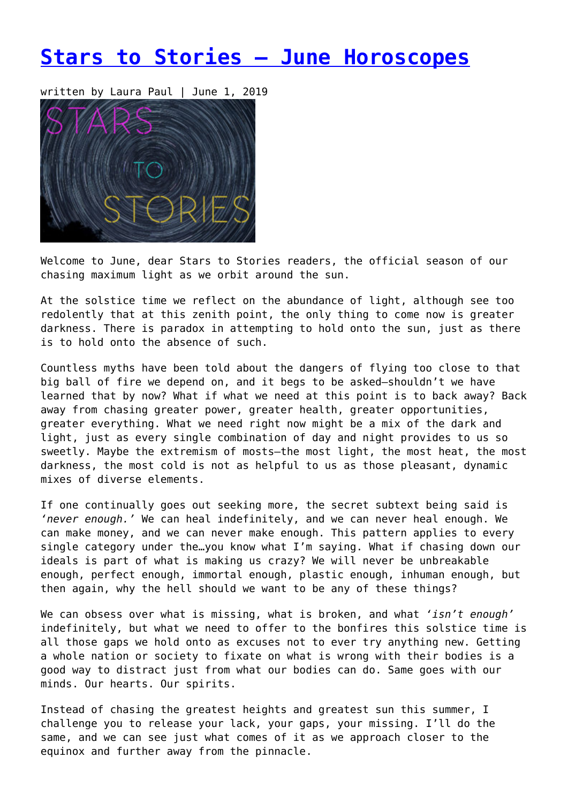# **[Stars to Stories – June Horoscopes](https://entropymag.org/stars-to-stories-june-horoscopes/)**

written by Laura Paul | June 1, 2019



Welcome to June, dear Stars to Stories readers, the official season of our chasing maximum light as we orbit around the sun.

At the solstice time we reflect on the abundance of light, although see too redolently that at this zenith point, the only thing to come now is greater darkness. There is paradox in attempting to hold onto the sun, just as there is to hold onto the absence of such.

Countless myths have been told about the dangers of flying too close to that big ball of fire we depend on, and it begs to be asked—shouldn't we have learned that by now? What if what we need at this point is to back away? Back away from chasing greater power, greater health, greater opportunities, greater everything. What we need right now might be a mix of the dark and light, just as every single combination of day and night provides to us so sweetly. Maybe the extremism of mosts—the most light, the most heat, the most darkness, the most cold is not as helpful to us as those pleasant, dynamic mixes of diverse elements.

If one continually goes out seeking more, the secret subtext being said is *'never enough.'* We can heal indefinitely, and we can never heal enough. We can make money, and we can never make enough. This pattern applies to every single category under the…you know what I'm saying. What if chasing down our ideals is part of what is making us crazy? We will never be unbreakable enough, perfect enough, immortal enough, plastic enough, inhuman enough, but then again, why the hell should we want to be any of these things?

We can obsess over what is missing, what is broken, and what *'isn't enough'* indefinitely, but what we need to offer to the bonfires this solstice time is all those gaps we hold onto as excuses not to ever try anything new. Getting a whole nation or society to fixate on what is wrong with their bodies is a good way to distract just from what our bodies can do. Same goes with our minds. Our hearts. Our spirits.

Instead of chasing the greatest heights and greatest sun this summer, I challenge you to release your lack, your gaps, your missing. I'll do the same, and we can see just what comes of it as we approach closer to the equinox and further away from the pinnacle.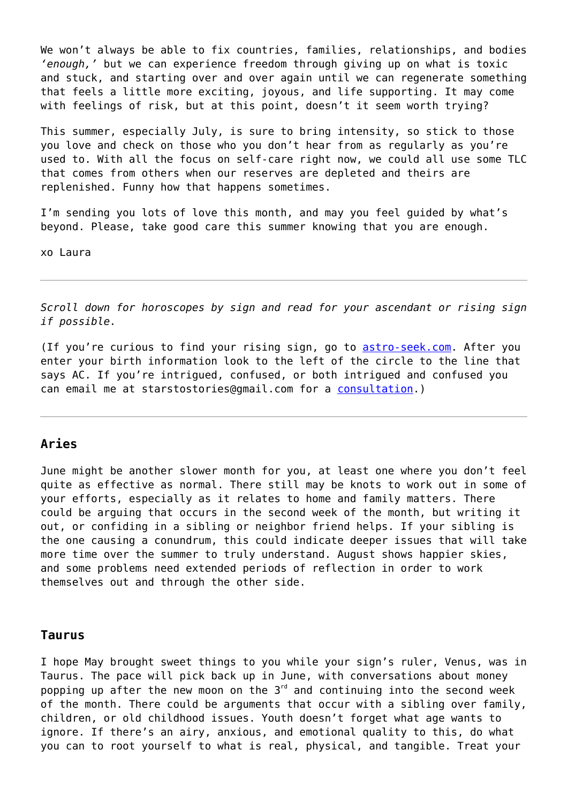We won't always be able to fix countries, families, relationships, and bodies *'enough,'* but we can experience freedom through giving up on what is toxic and stuck, and starting over and over again until we can regenerate something that feels a little more exciting, joyous, and life supporting. It may come with feelings of risk, but at this point, doesn't it seem worth trying?

This summer, especially July, is sure to bring intensity, so stick to those you love and check on those who you don't hear from as regularly as you're used to. With all the focus on self-care right now, we could all use some TLC that comes from others when our reserves are depleted and theirs are replenished. Funny how that happens sometimes.

I'm sending you lots of love this month, and may you feel guided by what's beyond. Please, take good care this summer knowing that you are enough.

xo Laura

*Scroll down for horoscopes by sign and read for your ascendant or rising sign if possible.*

(If you're curious to find your rising sign, go to [astro-seek.com.](https://entropymag.org/astro-seek.com) After you enter your birth information look to the left of the circle to the line that says AC. If you're intrigued, confused, or both intrigued and confused you can email me at starstostories@gmail.com for a [consultation](https://www.laurapaulwriter.com/consult).)

## **Aries**

June might be another slower month for you, at least one where you don't feel quite as effective as normal. There still may be knots to work out in some of your efforts, especially as it relates to home and family matters. There could be arguing that occurs in the second week of the month, but writing it out, or confiding in a sibling or neighbor friend helps. If your sibling is the one causing a conundrum, this could indicate deeper issues that will take more time over the summer to truly understand. August shows happier skies, and some problems need extended periods of reflection in order to work themselves out and through the other side.

#### **Taurus**

I hope May brought sweet things to you while your sign's ruler, Venus, was in Taurus. The pace will pick back up in June, with conversations about money popping up after the new moon on the  $3<sup>rd</sup>$  and continuing into the second week of the month. There could be arguments that occur with a sibling over family, children, or old childhood issues. Youth doesn't forget what age wants to ignore. If there's an airy, anxious, and emotional quality to this, do what you can to root yourself to what is real, physical, and tangible. Treat your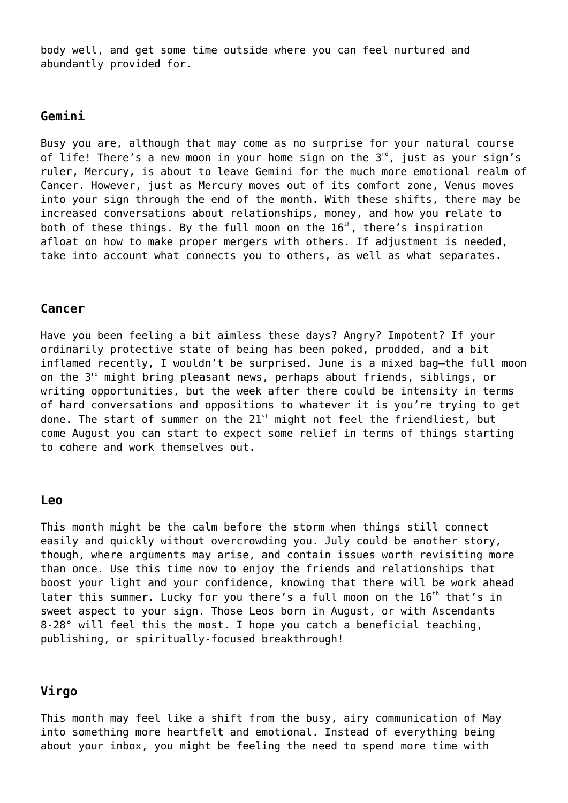body well, and get some time outside where you can feel nurtured and abundantly provided for.

#### **Gemini**

Busy you are, although that may come as no surprise for your natural course of life! There's a new moon in your home sign on the  $3<sup>rd</sup>$ , just as your sign's ruler, Mercury, is about to leave Gemini for the much more emotional realm of Cancer. However, just as Mercury moves out of its comfort zone, Venus moves into your sign through the end of the month. With these shifts, there may be increased conversations about relationships, money, and how you relate to both of these things. By the full moon on the  $16<sup>th</sup>$ , there's inspiration afloat on how to make proper mergers with others. If adjustment is needed, take into account what connects you to others, as well as what separates.

## **Cancer**

Have you been feeling a bit aimless these days? Angry? Impotent? If your ordinarily protective state of being has been poked, prodded, and a bit inflamed recently, I wouldn't be surprised. June is a mixed bag—the full moon on the 3<sup>rd</sup> might bring pleasant news, perhaps about friends, siblings, or writing opportunities, but the week after there could be intensity in terms of hard conversations and oppositions to whatever it is you're trying to get done. The start of summer on the  $21^{st}$  might not feel the friendliest, but come August you can start to expect some relief in terms of things starting to cohere and work themselves out.

#### **Leo**

This month might be the calm before the storm when things still connect easily and quickly without overcrowding you. July could be another story, though, where arguments may arise, and contain issues worth revisiting more than once. Use this time now to enjoy the friends and relationships that boost your light and your confidence, knowing that there will be work ahead later this summer. Lucky for you there's a full moon on the  $16<sup>th</sup>$  that's in sweet aspect to your sign. Those Leos born in August, or with Ascendants 8-28° will feel this the most. I hope you catch a beneficial teaching, publishing, or spiritually-focused breakthrough!

## **Virgo**

This month may feel like a shift from the busy, airy communication of May into something more heartfelt and emotional. Instead of everything being about your inbox, you might be feeling the need to spend more time with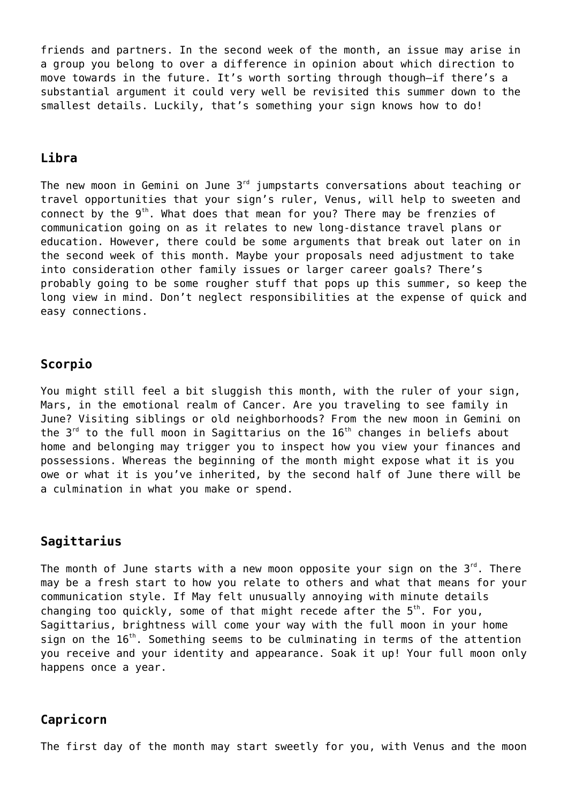friends and partners. In the second week of the month, an issue may arise in a group you belong to over a difference in opinion about which direction to move towards in the future. It's worth sorting through though—if there's a substantial argument it could very well be revisited this summer down to the smallest details. Luckily, that's something your sign knows how to do!

## **Libra**

The new moon in Gemini on June  $3<sup>rd</sup>$  jumpstarts conversations about teaching or travel opportunities that your sign's ruler, Venus, will help to sweeten and connect by the  $9<sup>th</sup>$ . What does that mean for you? There may be frenzies of communication going on as it relates to new long-distance travel plans or education. However, there could be some arguments that break out later on in the second week of this month. Maybe your proposals need adjustment to take into consideration other family issues or larger career goals? There's probably going to be some rougher stuff that pops up this summer, so keep the long view in mind. Don't neglect responsibilities at the expense of quick and easy connections.

## **Scorpio**

You might still feel a bit sluggish this month, with the ruler of your sign, Mars, in the emotional realm of Cancer. Are you traveling to see family in June? Visiting siblings or old neighborhoods? From the new moon in Gemini on the  $3^{rd}$  to the full moon in Sagittarius on the  $16^{th}$  changes in beliefs about home and belonging may trigger you to inspect how you view your finances and possessions. Whereas the beginning of the month might expose what it is you owe or what it is you've inherited, by the second half of June there will be a culmination in what you make or spend.

## **Sagittarius**

The month of June starts with a new moon opposite your sign on the  $3^{rd}$ . There may be a fresh start to how you relate to others and what that means for your communication style. If May felt unusually annoying with minute details changing too quickly, some of that might recede after the  $5<sup>th</sup>$ . For you, Sagittarius, brightness will come your way with the full moon in your home sign on the  $16<sup>th</sup>$ . Something seems to be culminating in terms of the attention you receive and your identity and appearance. Soak it up! Your full moon only happens once a year.

## **Capricorn**

The first day of the month may start sweetly for you, with Venus and the moon